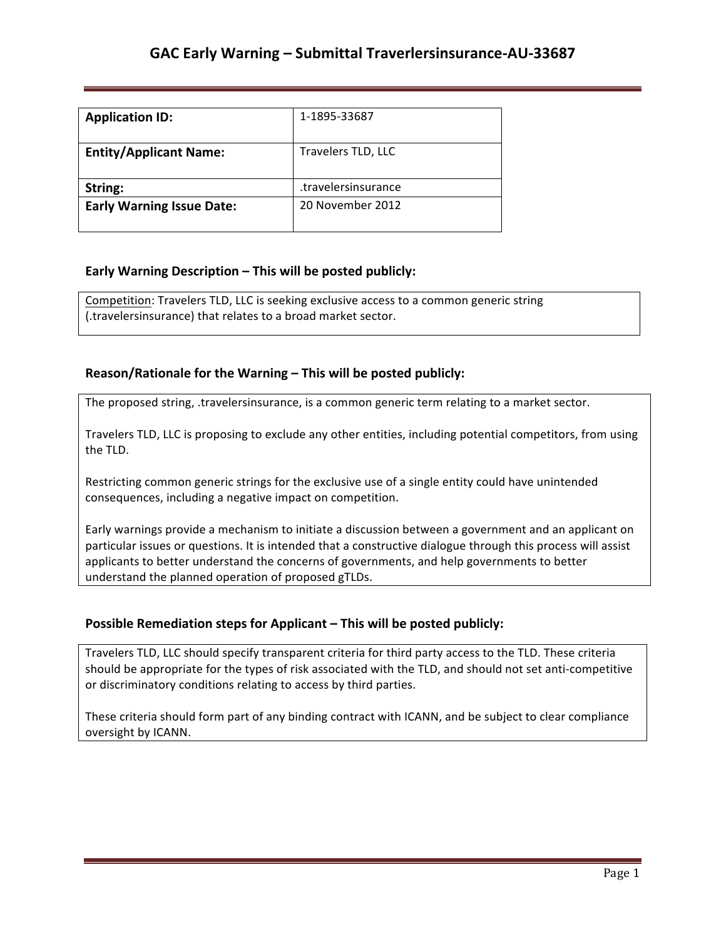| <b>Application ID:</b>           | 1-1895-33687        |
|----------------------------------|---------------------|
| <b>Entity/Applicant Name:</b>    | Travelers TLD, LLC  |
| String:                          | travelersinsurance. |
| <b>Early Warning Issue Date:</b> | 20 November 2012    |

### **Early Warning Description – This will be posted publicly:**

Competition: Travelers TLD, LLC is seeking exclusive access to a common generic string (.travelersinsurance) that relates to a broad market sector.

### **Reason/Rationale for the Warning – This will be posted publicly:**

The proposed string, .travelersinsurance, is a common generic term relating to a market sector.

Travelers TLD, LLC is proposing to exclude any other entities, including potential competitors, from using the TLD.

Restricting common generic strings for the exclusive use of a single entity could have unintended consequences, including a negative impact on competition.

Early warnings provide a mechanism to initiate a discussion between a government and an applicant on particular issues or questions. It is intended that a constructive dialogue through this process will assist applicants to better understand the concerns of governments, and help governments to better understand the planned operation of proposed gTLDs.

### **Possible Remediation steps for Applicant – This will be posted publicly:**

Travelers TLD, LLC should specify transparent criteria for third party access to the TLD. These criteria should be appropriate for the types of risk associated with the TLD, and should not set anti-competitive or discriminatory conditions relating to access by third parties.

These criteria should form part of any binding contract with ICANN, and be subject to clear compliance oversight by ICANN.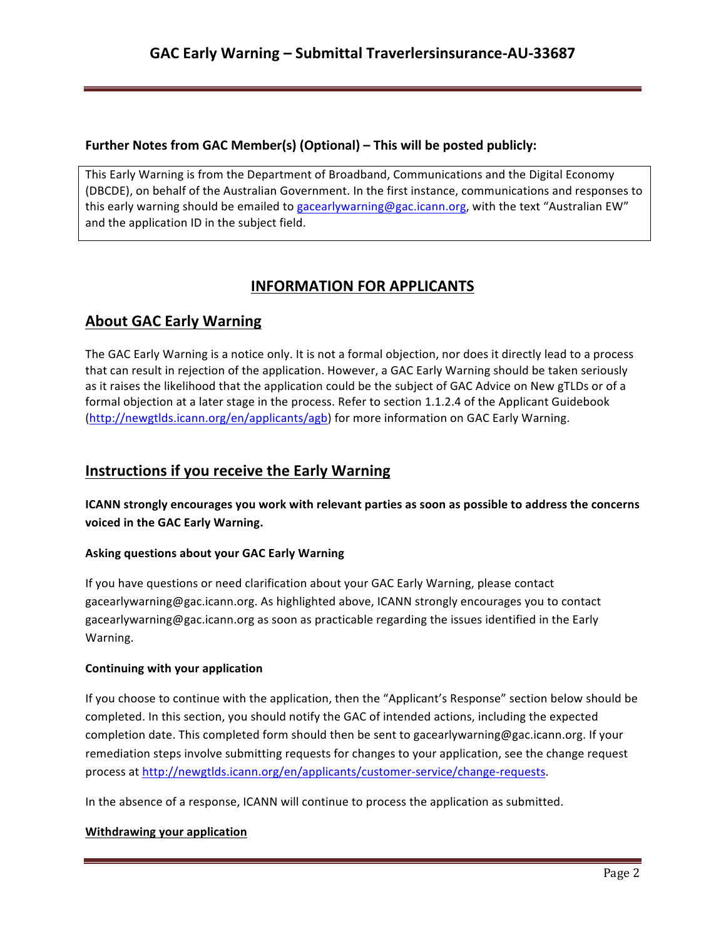### **Further Notes from GAC Member(s) (Optional) – This will be posted publicly:**

This Early Warning is from the Department of Broadband, Communications and the Digital Economy (DBCDE), on behalf of the Australian Government. In the first instance, communications and responses to this early warning should be emailed to gacearlywarning@gac.icann.org, with the text "Australian EW" and the application ID in the subject field.

# **INFORMATION FOR APPLICANTS**

## **About GAC Early Warning**

The GAC Early Warning is a notice only. It is not a formal objection, nor does it directly lead to a process that can result in rejection of the application. However, a GAC Early Warning should be taken seriously as it raises the likelihood that the application could be the subject of GAC Advice on New gTLDs or of a formal objection at a later stage in the process. Refer to section 1.1.2.4 of the Applicant Guidebook (http://newgtlds.icann.org/en/applicants/agb) for more information on GAC Early Warning.

## **Instructions if you receive the Early Warning**

**ICANN** strongly encourages you work with relevant parties as soon as possible to address the concerns voiced in the GAC Early Warning.

### **Asking questions about your GAC Early Warning**

If you have questions or need clarification about your GAC Early Warning, please contact gacearlywarning@gac.icann.org. As highlighted above, ICANN strongly encourages you to contact gacearlywarning@gac.icann.org as soon as practicable regarding the issues identified in the Early Warning. 

### **Continuing with your application**

If you choose to continue with the application, then the "Applicant's Response" section below should be completed. In this section, you should notify the GAC of intended actions, including the expected completion date. This completed form should then be sent to gacearlywarning@gac.icann.org. If your remediation steps involve submitting requests for changes to your application, see the change request process at http://newgtlds.icann.org/en/applicants/customer-service/change-requests.

In the absence of a response, ICANN will continue to process the application as submitted.

### **Withdrawing your application**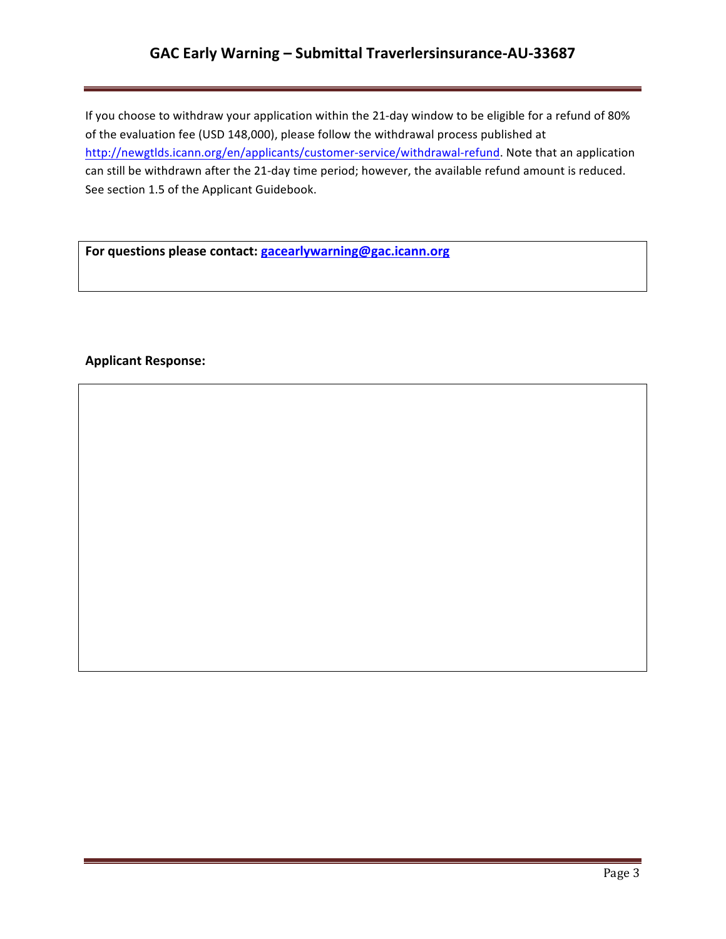# **GAC Early Warning – Submittal Traverlersinsurance-AU-33687**

If you choose to withdraw your application within the 21-day window to be eligible for a refund of 80% of the evaluation fee (USD 148,000), please follow the withdrawal process published at http://newgtlds.icann.org/en/applicants/customer-service/withdrawal-refund. Note that an application can still be withdrawn after the 21-day time period; however, the available refund amount is reduced. See section 1.5 of the Applicant Guidebook.

For questions please contact: **gacearlywarning@gac.icann.org** 

### **Applicant Response:**